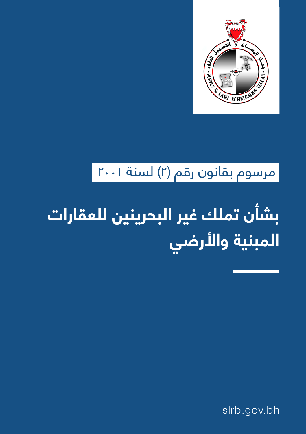

## مرسوم بقانون رقم (٢) لسنة ٢٠٠١

# **بشأن تملك غير البحرينين للعقارات المبنية واألرضي**

slrb.gov.bh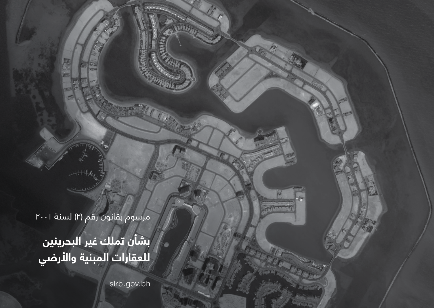مرسوم بقانون رقم (۲) لسنة ۲۰۰۱

**بشأن تملك غير البحرينين للعقارات المبنية واألرضي**

slrb.gov.bh

جهاز المساحة والتسجيل العقاري bh.gov.slrb 3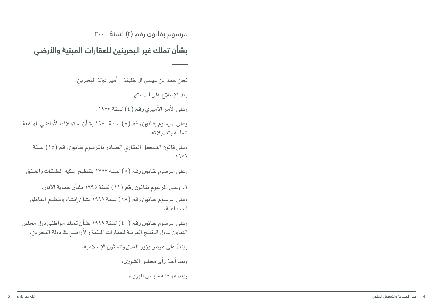مرسوم بقانون رقم (۲) لسنة ۲۰۰۱

بشأن تملك غير البحرينين للعقارات المبنية والأرضي

نحن حمد بن عيسى آل خليفة – أمير دولة البحرين،

بعد الإطلاع على الدستور،

وعلى الأمر الأميري رقم ( ٤ ) لسنة ١٩٧٥،

وعلى المرسوم بقانون رقم (٨) لسنة ١٩٧٠ بشأن استملاك الأراضي للمنفعة العامة وتعديلاته،

وعلى قانون التسجيل العقاري الصادر بالمرسوم بقانون رقم (١٥) لسنة  $1919$ 

وعلى المرسوم بقانون رقم (٨) لسنة ١٧٨٧ بتنظيم ملكية الطبقات والشقق،

١. وعلى المرسوم بقانون رقم (١١) لسنة ١٩٩٥ بشأن حماية الآثار،

وعلى المرسوم بقانون رقم (٢٨) لسنة ١٩٩٩ بشأن إنشاء وتنظيم المناطق الصناعية،

وعلى المرسوم بقانون رقم (٤٠) لسنة ١٩٩٩ بشأن تملك مواطني دول مجلس التعاون لدول الخليج العربية للعقارات المبنية والأراض*ى* فے دولة البحرين،

وبناءً على عرض وزير العدل والشئون الإسلامية،

وبعد أخذ رأي مجلس الشورى،

ويعد موافقة محلس الوزراء،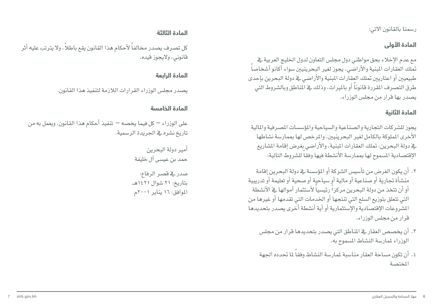رسمنا بالقانون الاتى:

#### المادة الأولى

مع عدم الإخلاء بحق مواطني دول مجلس التعاون لدول الخليج العربية في تملك العقارات المبنية والأراضى، يجوز لغير البحرينيين سواء أكانو أشخاصاً طبيعيين أو اعتاريين تملك العقارات المبنية والأراضي في دولة البحرين بإحدى طرق التصرف المقررة قانوناً أو بالميراث، وذلك في المُناطق وبالشروط التي يصدر بها قرار من مجلس الوزراء.

#### المادة الثانية

يجوز للشركات التجارية والصناعية والسياحية والمؤسسات المصرفية والمالية الأخرى الملوكة بالكامل لغير البحرينيين، والمرخص لها بممارسة نشاطها يخ دولة البحرين، تملك العقارات المبنية، والأراضى بغرض إقامة المشاريع الإفتصادية المسموح لها بممارسة الأنشطة فيها وفقا للشروط التالية:

- ٢. أن يكون الغرض من تأسيس الشركة أو المؤسسة في دولة البحرين إقامة منشأة تجارية أو صناعية أو مالية أو سياحية أو صحية أو تعليمة أو تدريبية أو أن تتخذ من دولة البحرين مركزاً رئيسياً لأستثمار أموالها في الأنشطة التي تتعلق بتوزيع السلع التي تنتجها أو الخدمات التي تقدمها أو غيرها من المشروعات الإفتصادية والإستثمارية أو أية أنشطة أخرى يصدر بتحديدها قرار من مجلس الوزراء.
	- ٣. أن يخصص العقار في المناطق التي يصدر بتحديدها قرار من مجلس الوزراء لمارسة النشاط المسموح به.
	- ٤. أن تكون مساحة العقار مناسبة لمارسة النشاط وفقا لما تحدده الجهة المختصة

#### المادة الثالثة

كل تصرف يصدر مخالفاً لأحكام هذا القانون يقع باطلاً ، ولا يترتب عليه أثر قانوني، ولايجوز قيده.

#### المادة الرابعة

يصدر مجلس الوزراء القرارات اللازمة لتنفيذ هذا القانون.

#### المادة الخامسة

على الوزراء — كل فيما يخصه — تنفيذ أحكام هذا القانون، ويعمل به من تاريخ نشره في الجريدة الرسمية.

> أمير دولة البحرين حمد بن عي*سى* آل خليفة

صدر قے قصر الرفاع: بتاريخ: ٢١ شوال ١٤٢١هـ الموافق: ١٦ يناير ٢٠٠١م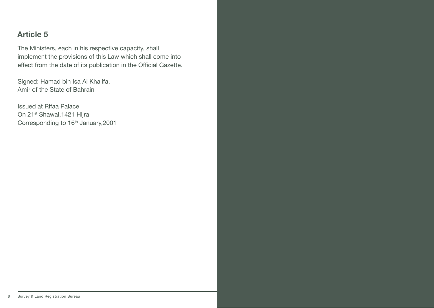### **Article 5**

The Ministers, each in his respective capacity, shall implement the provisions of this Law which shall come into effect from the date of its publication in the Official Gazette.

Signed: Hamad bin Isa Al Khalifa, Amir of the State of Bahrain

Issued at Rifaa Palace On 21<sup>st</sup> Shawal, 1421 Hijra Corresponding to 16<sup>th</sup> January, 2001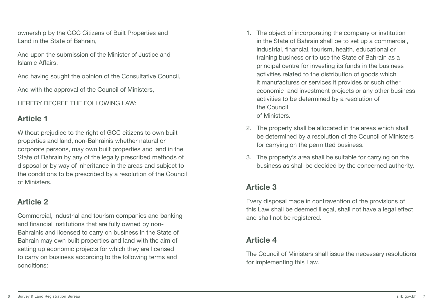ownership by the GCC Citizens of Built Properties and Land in the State of Bahrain.

And upon the submission of the Minister of Justice and Islamic Affairs.

And having sought the opinion of the Consultative Council.

And with the approval of the Council of Ministers,

HEREBY DECREE THE FOLLOWING LAW:

## **1 Article**

Without prejudice to the right of GCC citizens to own built properties and land, non-Bahrainis whether natural or corporate persons, may own built properties and land in the State of Bahrain by any of the legally prescribed methods of disposal or by way of inheritance in the areas and subject to the conditions to be prescribed by a resolution of the Council of Ministers.

## **2 Article**

Commercial, industrial and tourism companies and banking Bahrainis and licensed to carry on business in the State of and financial institutions that are fully owned by non-Bahrain may own built properties and land with the aim of setting up economic projects for which they are licensed to carry on business according to the following terms and :conditions

- 1. The object of incorporating the company or institution in the State of Bahrain shall be to set up a commercial, industrial, financial, tourism, health, educational or training business or to use the State of Bahrain as a principal centre for investing its funds in the business activities related to the distribution of goods which it manufactures or services it provides or such other economic and investment projects or any other business activities to be determined by a resolution of the Council of Ministers.
- 2. The property shall be allocated in the areas which shall be determined by a resolution of the Council of Ministers for carrying on the permitted business.
- 3. The property's area shall be suitable for carrying on the business as shall be decided by the concerned authority.

## **3 Article**

Every disposal made in contravention of the provisions of this Law shall be deemed illegal, shall not have a legal effect and shall not be registered.

## **Article 4**

The Council of Ministers shall issue the necessary resolutions for implementing this Law.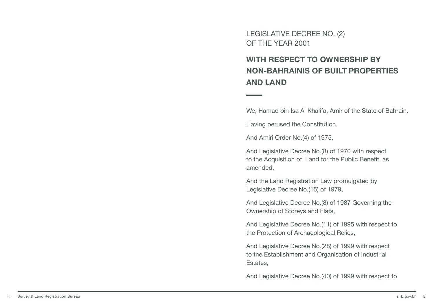LEGISLATIVE DECREE NO. (2) OF THE YEAR 2001

## **WITH RESPECT TO OWNERSHIP BY NON-BAHRAINIS OF BUILT PROPERTIES AND LAND**

We, Hamad bin Isa Al Khalifa, Amir of the State of Bahrain,

Having perused the Constitution,

And Amiri Order No.(4) of 1975,

And Legislative Decree No.(8) of 1970 with respect to the Acquisition of Land for the Public Benefit, as ,amended

And the Land Registration Law promulgated by Legislative Decree No.(15) of 1979,

And Legislative Decree No.(8) of 1987 Governing the Ownership of Storeys and Flats,

And Legislative Decree No.(11) of 1995 with respect to the Protection of Archaeological Relics,

And Legislative Decree No.(28) of 1999 with respect to the Establishment and Organisation of Industrial Estates.

And Legislative Decree No.(40) of 1999 with respect to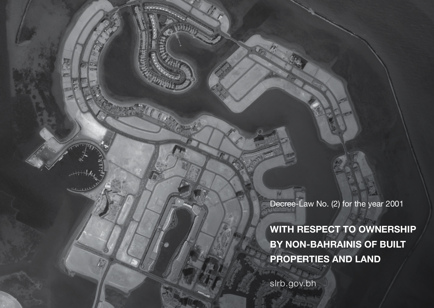Decree-Law No. (2) for the year 2001

**WITH RESPECT TO OWNERSHIP BY NON-BAHRAINIS OF BUILT PROPERTIES AND LAND** 

slrb.gov.bh

bh.gov.slr.b Bureau Registration Land Bureau Registration Land Bureau Registration Land Bureau Registration La